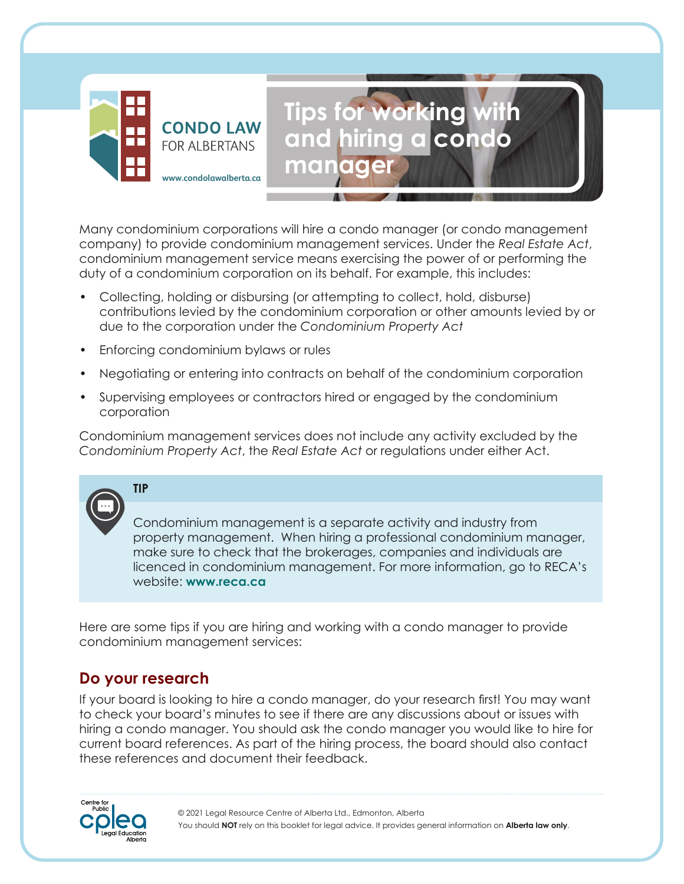

Many condominium corporations will hire a condo manager (or condo management company) to provide condominium management services. Under the *Real Estate Act*, condominium management service means exercising the power of or performing the duty of a condominium corporation on its behalf. For example, this includes:

**manager**

**Tips for working with** 

**and hiring a condo** 

- Collecting, holding or disbursing (or attempting to collect, hold, disburse) contributions levied by the condominium corporation or other amounts levied by or due to the corporation under the *Condominium Property Act*
- Enforcing condominium bylaws or rules
- Negotiating or entering into contracts on behalf of the condominium corporation
- Supervising employees or contractors hired or engaged by the condominium corporation

Condominium management services does not include any activity excluded by the *Condominium Property Act*, the *Real Estate Act* or regulations under either Act.

# **TIP**

Condominium management is a separate activity and industry from property management. When hiring a professional condominium manager, make sure to check that the brokerages, companies and individuals are licenced in condominium management. For more information, go to RECA's website: **[www.reca.ca](http://www.reca.ca)**

Here are some tips if you are hiring and working with a condo manager to provide condominium management services:

### **Do your research**

If your board is looking to hire a condo manager, do your research first! You may want to check your board's minutes to see if there are any discussions about or issues with hiring a condo manager. You should ask the condo manager you would like to hire for current board references. As part of the hiring process, the board should also contact these references and document their feedback.

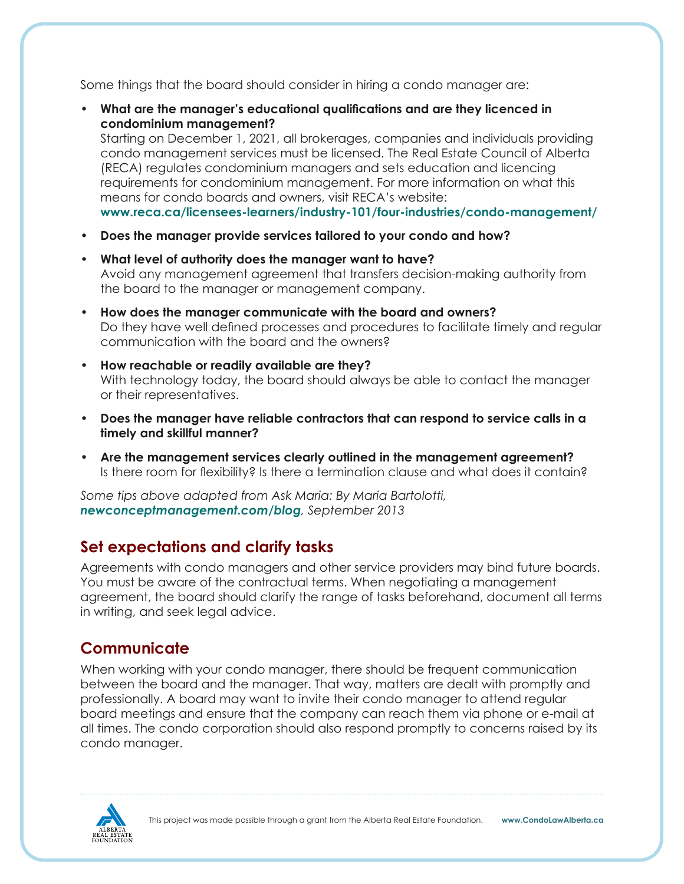Some things that the board should consider in hiring a condo manager are:

• **What are the manager's educational qualifications and are they licenced in condominium management?** Starting on December 1, 2021, all brokerages, companies and individuals providing condo management services must be licensed. The Real Estate Council of Alberta (RECA) regulates condominium managers and sets education and licencing requirements for condominium management. For more information on what this means for condo boards and owners, visit RECA's website:

**[www.reca.ca/licensees-learners/industry-101/four-industries/condo-management/](http://www.reca.ca/licensees-learners/industry-101/four-industries/condo-management/)**

- **Does the manager provide services tailored to your condo and how?**
- **What level of authority does the manager want to have?** Avoid any management agreement that transfers decision-making authority from the board to the manager or management company.
- **How does the manager communicate with the board and owners?** Do they have well defined processes and procedures to facilitate timely and regular communication with the board and the owners?
- **How reachable or readily available are they?** With technology today, the board should always be able to contact the manager or their representatives.
- **Does the manager have reliable contractors that can respond to service calls in a timely and skillful manner?**
- **Are the management services clearly outlined in the management agreement?** Is there room for flexibility? Is there a termination clause and what does it contain?

*Some tips above adapted from Ask Maria: By Maria Bartolotti, [newconceptmanagement.com/blog](http://newconceptmanagement.com/blog), September 2013*

### **Set expectations and clarify tasks**

Agreements with condo managers and other service providers may bind future boards. You must be aware of the contractual terms. When negotiating a management agreement, the board should clarify the range of tasks beforehand, document all terms in writing, and seek legal advice.

### **Communicate**

When working with your condo manager, there should be frequent communication between the board and the manager. That way, matters are dealt with promptly and professionally. A board may want to invite their condo manager to attend regular board meetings and ensure that the company can reach them via phone or e-mail at all times. The condo corporation should also respond promptly to concerns raised by its condo manager.

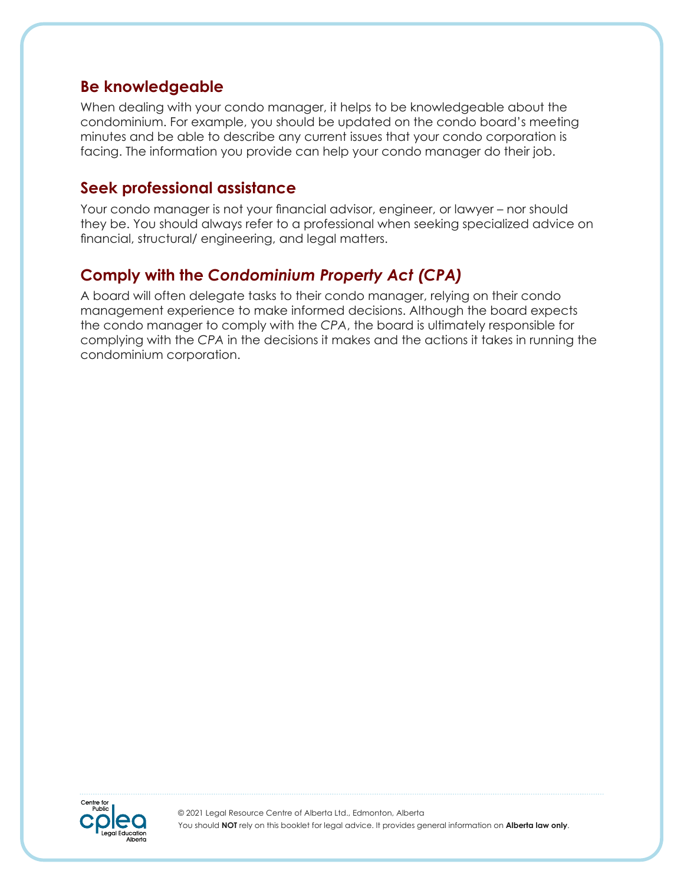#### **Be knowledgeable**

When dealing with your condo manager, it helps to be knowledgeable about the condominium. For example, you should be updated on the condo board's meeting minutes and be able to describe any current issues that your condo corporation is facing. The information you provide can help your condo manager do their job.

#### **Seek professional assistance**

Your condo manager is not your financial advisor, engineer, or lawyer – nor should they be. You should always refer to a professional when seeking specialized advice on financial, structural/ engineering, and legal matters.

## **Comply with the** *Condominium Property Act (CPA)*

A board will often delegate tasks to their condo manager, relying on their condo management experience to make informed decisions. Although the board expects the condo manager to comply with the *CPA*, the board is ultimately responsible for complying with the *CPA* in the decisions it makes and the actions it takes in running the condominium corporation.